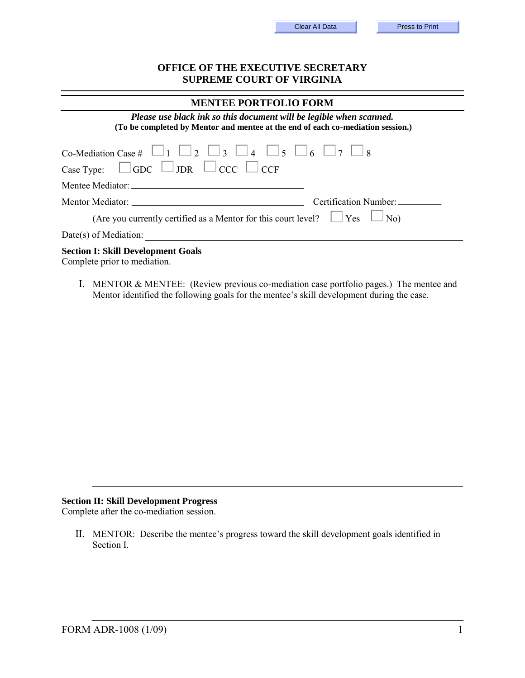| Clear All Data |  |  |  |
|----------------|--|--|--|
|----------------|--|--|--|

## **OFFICE OF THE EXECUTIVE SECRETARY SUPREME COURT OF VIRGINIA**

| <b>MENTEE PORTFOLIO FORM</b>                                                                                                                           |
|--------------------------------------------------------------------------------------------------------------------------------------------------------|
| Please use black ink so this document will be legible when scanned.<br>(To be completed by Mentor and mentee at the end of each co-mediation session.) |
| Co-Mediation Case # $\Box$ 1 $\Box$ 2 $\Box$ 3 $\Box$ 4 $\Box$ 5 $\Box$ 6 $\Box$ 7 $\Box$ 8                                                            |
| Case Type: $\Box$ GDC $\Box$ JDR $\Box$ CCC $\Box$ CCF                                                                                                 |
|                                                                                                                                                        |
| Certification Number: __________                                                                                                                       |
| (Are you currently certified as a Mentor for this court level? $\Box$ Yes $\Box$ No)                                                                   |
| $Date(s)$ of Mediation:                                                                                                                                |
| <b>Section I: Skill Development Goals</b><br>Complete prior to mediation.                                                                              |

I. MENTOR & MENTEE: (Review previous co-mediation case portfolio pages.) The mentee and Mentor identified the following goals for the mentee's skill development during the case.

## **Section II: Skill Development Progress**

Complete after the co-mediation session.

II. MENTOR: Describe the mentee's progress toward the skill development goals identified in Section I.